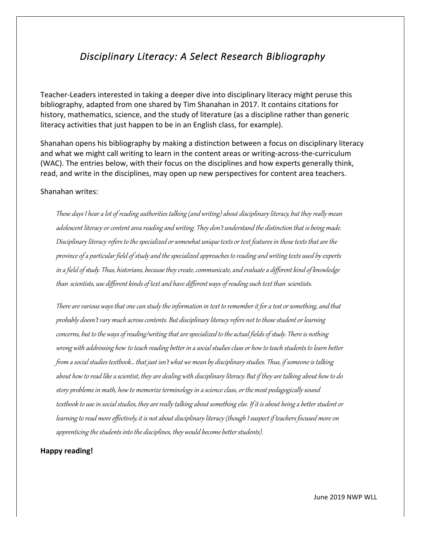## *Disciplinary Literacy: A Select Research Bibliography*

Teacher-Leaders interested in taking a deeper dive into disciplinary literacy might peruse this bibliography, adapted from one shared by Tim Shanahan in 2017. It contains citations for history, mathematics, science, and the study of literature (as a discipline rather than generic literacy activities that just happen to be in an English class, for example).

Shanahan opens his bibliography by making a distinction between a focus on disciplinary literacy and what we might call writing to learn in the content areas or writing-across-the-curriculum (WAC). The entries below, with their focus on the disciplines and how experts generally think, read, and write in the disciplines, may open up new perspectives for content area teachers.

## Shanahan writes:

These days I hear a lot of reading authorities talking (and writing) about disciplinary literacy, but they really mean adolescent literacy or content area reading and writing. They don't understand the distinction that is being made. Disciplinary literacy refers to the specialized or somewhat unique texts or text features in those texts that are the province of a particular field of study and the specialized approaches to reading and writing texts used by experts in a field of study. Thus, historians, because they create, communicate, and evaluate a different kind of knowledge than scientists, use different kinds of text and have different ways of reading such text than scientists.

There are various ways that one can study the information in text to remember it for a test or something, and that probably doesn't vary much across contents. But disciplinary literacy refers not to those student or learning concerns, but to the ways of reading/writing that are specialized to the actual fields of study. There is nothing wrong with addressing how to teach reading better in a social studies class or how to teach students to learn better from asocial studies textbook… that just isn't what we mean by disciplinary studies. Thus, if someone is talking about how to read like a scientist, they are dealing with disciplinary literacy. But if they are talking about how to do story problems in math, how to memorize terminology in ascience class,or the most pedagogically sound textbook to use in social studies, they are really talking about something else. If it is about being a better student or learning to read more effectively, it is not about disciplinary literacy (though I suspect if teachers focused more on apprenticing the students into the disciplines, they would become better students).

## **Happy reading!**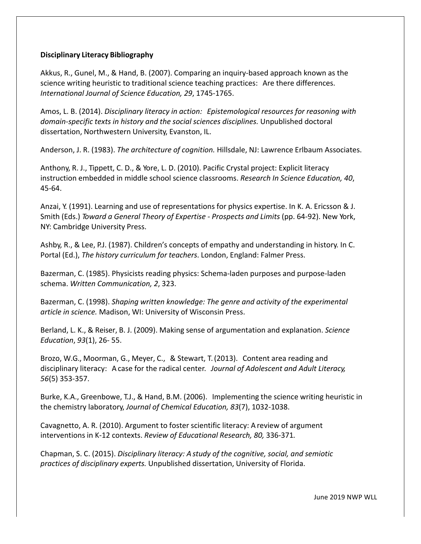## **Disciplinary Literacy Bibliography**

Akkus, R., Gunel, M., & Hand, B. (2007). Comparing an inquiry-based approach known as the science writing heuristic to traditional science teaching practices: Are there differences. *International Journal of Science Education, 29*, 1745-1765.

Amos, L. B. (2014). *Disciplinary literacy in action: Epistemological resources for reasoning with domain-specific texts in history and the social sciences disciplines.* Unpublished doctoral dissertation, Northwestern University, Evanston, IL.

Anderson, J. R. (1983). *The architecture of cognition.* Hillsdale, NJ: Lawrence Erlbaum Associates.

Anthony, R. J., Tippett, C. D., & Yore, L. D. (2010). Pacific Crystal project: Explicit literacy instruction embedded in middle school science classrooms. *Research In Science Education, 40*, 45-64.

Anzai, Y. (1991). Learning and use of representations for physics expertise. In K. A. Ericsson & J. Smith (Eds.) *Toward a General Theory of Expertise - Prospects and Limits* (pp. 64-92). New York, NY: Cambridge University Press.

Ashby, R., & Lee, P.J. (1987). Children's concepts of empathy and understanding in history. In C. Portal (Ed.), *The history curriculum for teachers*. London, England: Falmer Press.

Bazerman, C. (1985). Physicists reading physics: Schema-laden purposes and purpose-laden schema. *Written Communication, 2*, 323.

Bazerman, C. (1998). *Shaping written knowledge: The genre and activity of the experimental article in science.* Madison, WI: University of Wisconsin Press.

Berland, L. K., & Reiser, B. J. (2009). Making sense of argumentation and explanation. *Science Education*, *93*(1), 26- 55.

Brozo, W.G., Moorman, G., Meyer, C., & Stewart, T. (2013). Content area reading and disciplinary literacy: A case for the radical center. *Journal of Adolescent and Adult Literacy, 56*(5) 353-357.

Burke, K.A., Greenbowe, T.J., & Hand, B.M. (2006). Implementing the science writing heuristic in the chemistry laboratory, *Journal of Chemical Education, 83*(7), 1032-1038.

Cavagnetto, A. R. (2010). Argument to foster scientific literacy: Areview of argument interventions in K-12 contexts. *Review of Educational Research, 80,* 336-371*.*

Chapman, S. C. (2015). *Disciplinary literacy: A study of the cognitive, social, and semiotic practices of disciplinary experts.* Unpublished dissertation, University of Florida.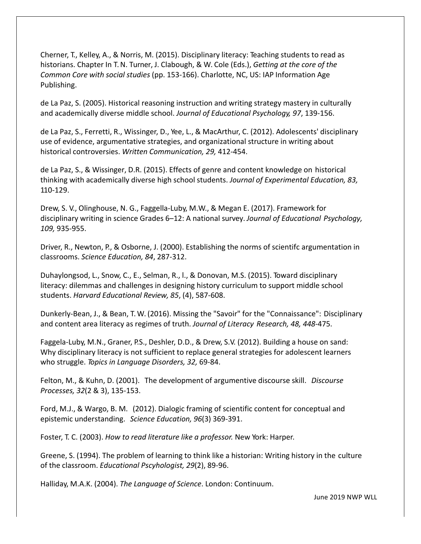Cherner, T., Kelley, A., & Norris, M. (2015). Disciplinary literacy: Teaching students to read as historians. Chapter In T.N. Turner, J. Clabough, & W. Cole (Eds.), *Getting at the core of the Common Core with social studies* (pp. 153-166). Charlotte, NC, US: IAP Information Age Publishing.

de La Paz, S. (2005). Historical reasoning instruction and writing strategy mastery in culturally and academically diverse middle school. *Journal of Educational Psychology, 97*, 139-156.

de La Paz, S., Ferretti, R., Wissinger, D., Yee, L., & MacArthur, C. (2012). Adolescents' disciplinary use of evidence, argumentative strategies, and organizational structure in writing about historical controversies. *Written Communication, 29,* 412-454.

de La Paz, S., & Wissinger, D.R. (2015). Effects of genre and content knowledge on historical thinking with academically diverse high school students. *Journal of Experimental Education, 83,* 110-129.

Drew, S. V., Olinghouse, N. G., Faggella-Luby, M.W., & Megan E. (2017). Framework for disciplinary writing in science Grades 6–12: A national survey. *Journal of Educational Psychology, 109,* 935-955.

Driver, R., Newton, P., & Osborne, J. (2000). Establishing the norms of scientifc argumentation in classrooms. *Science Education, 84*, 287-312.

Duhaylongsod, L., Snow, C., E., Selman, R., l., & Donovan, M.S. (2015). Toward disciplinary literacy: dilemmas and challenges in designing history curriculum to support middle school students. *Harvard Educational Review, 85*, (4), 587-608.

Dunkerly-Bean, J., & Bean, T.W. (2016). Missing the "Savoir" for the "Connaissance": Disciplinary and content area literacy as regimes of truth. *Journal of Literacy Research, 48, 448*-475.

Faggela-Luby, M.N., Graner, P.S., Deshler, D.D., & Drew, S.V. (2012). Building a house on sand: Why disciplinary literacy is not sufficient to replace general strategies for adolescent learners who struggle. *Topics in Language Disorders, 32,* 69-84.

Felton, M., & Kuhn, D. (2001). The development of argumentive discourse skill. *Discourse Processes, 32*(2 & 3), 135-153.

Ford, M.J., & Wargo, B. M. (2012). Dialogic framing of scientific content for conceptual and epistemic understanding. *Science Education, 96*(3) 369-391.

Foster, T. C. (2003). *How to read literature like a professor.* New York: Harper.

Greene, S. (1994). The problem of learning to think like a historian: Writing history in the culture of the classroom. *Educational Pscyhologist, 29*(2), 89-96.

Halliday, M.A.K. (2004). *The Language of Science*. London: Continuum.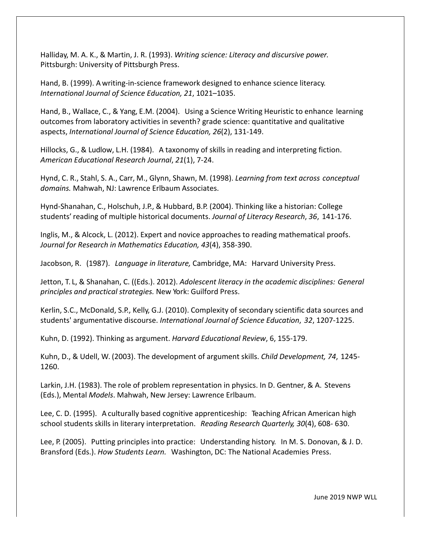Halliday, M. A. K., & Martin, J. R. (1993). *Writing science: Literacy and discursive power.* Pittsburgh: University of Pittsburgh Press.

Hand, B. (1999). A writing-in-science framework designed to enhance science literacy. *International Journal of Science Education, 21*, 1021–1035.

Hand, B., Wallace, C., & Yang, E.M. (2004). Using a Science Writing Heuristic to enhance learning outcomes from laboratory activities in seventh? grade science: quantitative and qualitative aspects, *International Journal of Science Education, 26*(2), 131-149.

Hillocks, G., & Ludlow, L.H. (1984). A taxonomy of skills in reading and interpreting fiction. *American Educational Research Journal*, *21*(1), 7-24.

Hynd, C. R., Stahl, S. A., Carr, M., Glynn, Shawn, M. (1998). *Learning from text across conceptual domains.* Mahwah, NJ: Lawrence Erlbaum Associates.

Hynd-Shanahan, C., Holschuh, J.P., & Hubbard, B.P. (2004). Thinking like a historian: College students'reading of multiple historical documents. *Journal of Literacy Research*, *36*, 141-176.

Inglis, M., & Alcock, L. (2012). Expert and novice approaches to reading mathematical proofs. *Journal for Research in Mathematics Education, 43*(4), 358-390.

Jacobson, R. (1987). *Language in literature,* Cambridge, MA: Harvard University Press.

Jetton, T. L, & Shanahan, C. ((Eds.). 2012). *Adolescent literacy in the academic disciplines: General principles and practical strategies.* New York: Guilford Press.

Kerlin, S.C., McDonald, S.P., Kelly, G.J. (2010). Complexity of secondary scientific data sources and students' argumentative discourse. *International Journal of Science Education*, *32*, 1207-1225.

Kuhn, D. (1992). Thinking as argument. *Harvard Educational Review*, 6, 155-179.

Kuhn, D., & Udell, W. (2003). The development of argument skills. *Child Development, 74*, 1245- 1260.

Larkin, J.H. (1983). The role of problem representation in physics. In D. Gentner, & A. Stevens (Eds.), Mental *Models*. Mahwah, New Jersey: Lawrence Erlbaum.

Lee, C. D. (1995). A culturally based cognitive apprenticeship: Teaching African American high school students skills in literary interpretation. *Reading Research Quarterly, 30*(4), 608- 630.

Lee, P. (2005). Putting principles into practice: Understanding history. In M. S. Donovan, & J. D. Bransford (Eds.). *How Students Learn.* Washington, DC: The National Academies Press.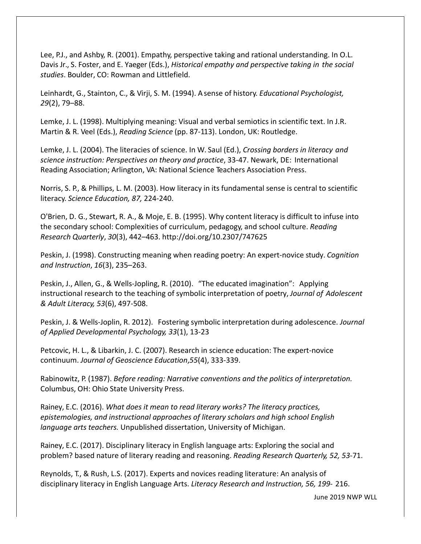Lee, P.J., and Ashby, R. (2001). Empathy, perspective taking and rational understanding. In O.L. Davis Jr., S. Foster, and E. Yaeger (Eds.), *Historical empathy and perspective taking in the social studies*. Boulder, CO: Rowman and Littlefield.

Leinhardt, G., Stainton, C., & Virji, S. M. (1994). Asense of history. *Educational Psychologist, 29*(2), 79–88.

Lemke, J. L. (1998). Multiplying meaning: Visual and verbal semiotics in scientific text. In J.R. Martin & R. Veel (Eds.), *Reading Science* (pp. 87-113). London, UK: Routledge.

Lemke, J. L. (2004). The literacies of science. In W. Saul (Ed.), *Crossing borders in literacy and science instruction: Perspectives on theory and practice*, 33-47. Newark, DE: International Reading Association; Arlington, VA: National Science Teachers Association Press.

Norris, S. P., & Phillips, L. M. (2003). How literacy in its fundamental sense is central to scientific literacy. *Science Education, 87,* 224-240.

O'Brien, D. G., Stewart, R. A., & Moje, E. B. (1995). Why content literacy is difficult to infuse into the secondary school: Complexities of curriculum, pedagogy, and school culture. *Reading Research Quarterly*, *30*(3), 442–463. http://doi.org/10.2307/747625

Peskin, J. (1998). Constructing meaning when reading poetry: An expert-novice study. *Cognition and Instruction*, *16*(3), 235–263.

Peskin, J., Allen, G., & Wells-Jopling, R. (2010). "The educated imagination": Applying instructional research to the teaching of symbolic interpretation of poetry, *Journal of Adolescent & Adult Literacy, 53*(6), 497-508.

Peskin, J. & Wells-Joplin, R. 2012). Fostering symbolic interpretation during adolescence. *Journal of Applied Developmental Psychology, 33*(1), 13-23

Petcovic, H. L., & Libarkin, J. C. (2007). Research in science education: The expert-novice continuum. *Journal of Geoscience Education*,*55*(4), 333-339.

Rabinowitz, P. (1987). *Before reading: Narrative conventions and the politics of interpretation.* Columbus, OH: Ohio State University Press.

Rainey, E.C. (2016). *What does it mean to read literary works? The literacy practices, epistemologies, and instructional approaches of literary scholars and high school English language arts teachers.* Unpublished dissertation, University of Michigan.

Rainey, E.C. (2017). Disciplinary literacy in English language arts: Exploring the social and problem? based nature of literary reading and reasoning. *Reading Research Quarterly, 52, 53*-71.

Reynolds, T., & Rush, L.S. (2017). Experts and novices reading literature: An analysis of disciplinary literacy in English Language Arts. *Literacy Research and Instruction, 56, 199*- 216.

June 2019 NWP WLL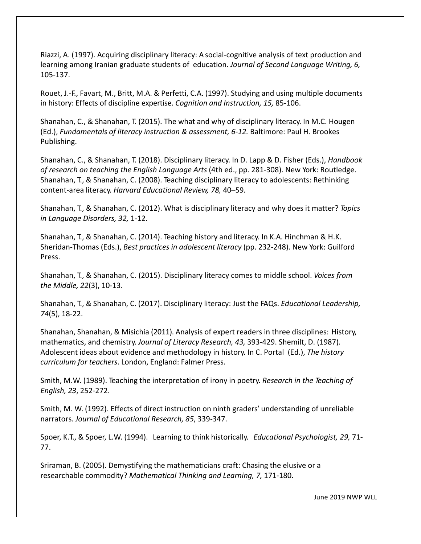Riazzi, A. (1997). Acquiring disciplinary literacy: A social-cognitive analysis of text production and learning among Iranian graduate students of education. *Journal of Second Language Writing, 6,* 105-137.

Rouet, J.-F., Favart, M., Britt, M.A. & Perfetti, C.A. (1997). Studying and using multiple documents in history: Effects of discipline expertise. *Cognition and Instruction, 15,* 85-106.

Shanahan, C., & Shanahan, T. (2015). The what and why of disciplinary literacy. In M.C. Hougen (Ed.), *Fundamentals of literacy instruction & assessment, 6-12.* Baltimore: Paul H. Brookes Publishing.

Shanahan, C., & Shanahan, T. (2018). Disciplinary literacy. In D. Lapp & D. Fisher (Eds.), *Handbook of research on teaching the English Language Arts* (4th ed., pp. 281-308). New York: Routledge. Shanahan, T., & Shanahan, C. (2008). Teaching disciplinary literacy to adolescents: Rethinking content-area literacy. *Harvard Educational Review, 78,* 40–59.

Shanahan, T., & Shanahan, C. (2012). What is disciplinary literacy and why does it matter? *Topics in Language Disorders, 32,* 1-12.

Shanahan, T., & Shanahan, C. (2014). Teaching history and literacy. In K.A. Hinchman & H.K. Sheridan-Thomas (Eds.), *Best practices in adolescent literacy* (pp. 232-248). New York: Guilford Press.

Shanahan, T., & Shanahan, C. (2015). Disciplinary literacy comes to middle school. *Voices from the Middle, 22*(3), 10-13.

Shanahan, T., & Shanahan, C. (2017). Disciplinary literacy: Just the FAQs. *Educational Leadership, 74*(5), 18-22.

Shanahan, Shanahan, & Misichia (2011). Analysis of expert readers in three disciplines: History, mathematics, and chemistry. *Journal of Literacy Research, 43,* 393-429. Shemilt, D. (1987). Adolescent ideas about evidence and methodology in history. In C. Portal (Ed.), *The history curriculum for teachers*. London, England: Falmer Press.

Smith, M.W. (1989). Teaching the interpretation of irony in poetry. *Research in the Teaching of English, 23*, 252-272.

Smith, M. W. (1992). Effects of direct instruction on ninth graders' understanding of unreliable narrators. *Journal of Educational Research, 85*, 339-347.

Spoer, K.T., & Spoer, L.W. (1994). Learning to think historically. *Educational Psychologist, 29,* 71- 77.

Sriraman, B. (2005). Demystifying the mathematicians craft: Chasing the elusive or a researchable commodity? *Mathematical Thinking and Learning, 7,* 171-180.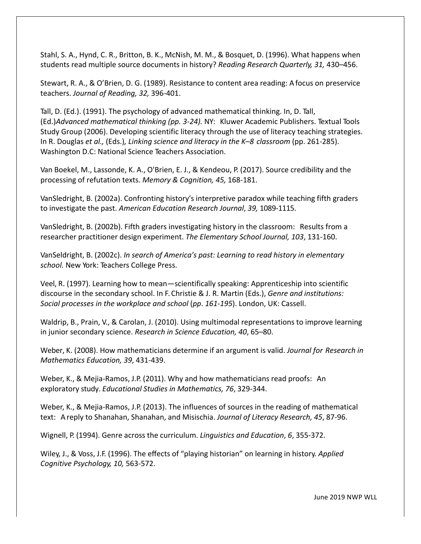Stahl, S. A., Hynd, C. R., Britton, B. K., McNish, M. M., & Bosquet, D. (1996). What happens when students read multiple source documents in history? *Reading Research Quarterly, 31,* 430–456.

Stewart, R. A., & O'Brien, D. G. (1989). Resistance to content area reading: A focus on preservice teachers. *Journal of Reading, 32,* 396-401.

Tall, D. (Ed.). (1991). The psychology of advanced mathematical thinking. In, D. Tall, (Ed.)*Advanced mathematical thinking (pp. 3-24).* NY: Kluwer Academic Publishers. Textual Tools Study Group (2006). Developing scientific literacy through the use of literacy teaching strategies. In R. Douglas *et al.,* (Eds.)*, Linking science and literacy in the K–8 classroom* (pp. 261-285). Washington D.C: National Science Teachers Association.

Van Boekel, M., Lassonde, K. A., O'Brien, E. J., & Kendeou, P. (2017). Source credibility and the processing of refutation texts. *Memory & Cognition, 45,* 168-181.

VanSledright, B. (2002a). Confronting history's interpretive paradox while teaching fifth graders to investigate the past. *American Education Research Journal*, *39,* 1089-1115.

VanSledright, B. (2002b). Fifth graders investigating history in the classroom: Results from a researcher practitioner design experiment. *The Elementary School Journal, 103*, 131-160.

VanSeldright, B. (2002c). *In search of America's past: Learning to read history in elementary school.* New York: Teachers College Press.

Veel, R. (1997). Learning how to mean—scientifically speaking: Apprenticeship into scientific discourse in the secondary school. In F. Christie & J. R. Martin (Eds.), *Genre and institutions: Social processes in the workplace and school* (*pp*. *161-195*). London, UK: Cassell.

Waldrip, B., Prain, V., & Carolan, J. (2010). Using multimodal representations to improve learning in junior secondary science. *Research in Science Education, 40*, 65–80.

Weber, K. (2008). How mathematicians determine if an argument is valid. *Journal for Research in Mathematics Education, 39*, 431-439.

Weber, K., & Mejia-Ramos, J.P. (2011). Why and how mathematicians read proofs: An exploratory study. *Educational Studies in Mathematics, 76*, 329-344.

Weber, K., & Mejia-Ramos, J.P. (2013). The influences of sources in the reading of mathematical text: A reply to Shanahan, Shanahan, and Misischia. *Journal of Literacy Research, 45*, 87-96.

Wignell, P. (1994). Genre across the curriculum. *Linguistics and Education*, *6*, 355-372.

Wiley, J., & Voss, J.F. (1996). The effects of "playing historian" on learning in history. *Applied Cognitive Psychology, 10,* 563-572.